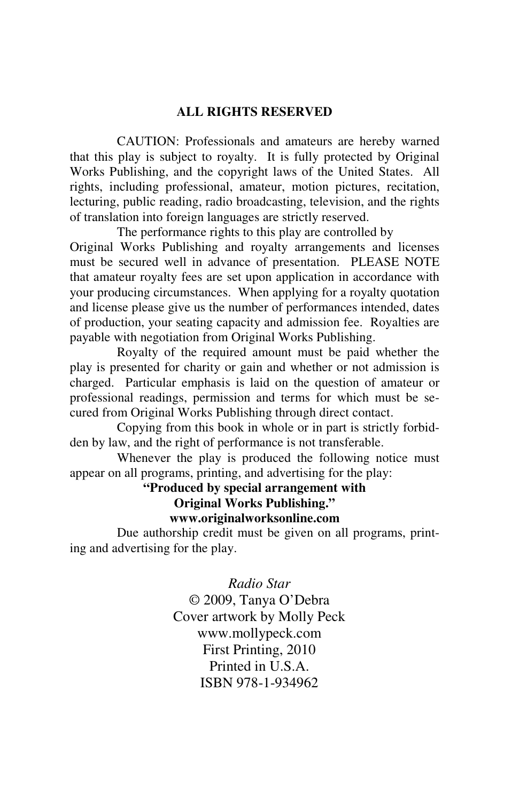#### **ALL RIGHTS RESERVED**

 CAUTION: Professionals and amateurs are hereby warned that this play is subject to royalty. It is fully protected by Original Works Publishing, and the copyright laws of the United States. All rights, including professional, amateur, motion pictures, recitation, lecturing, public reading, radio broadcasting, television, and the rights of translation into foreign languages are strictly reserved.

 The performance rights to this play are controlled by Original Works Publishing and royalty arrangements and licenses must be secured well in advance of presentation. PLEASE NOTE that amateur royalty fees are set upon application in accordance with your producing circumstances. When applying for a royalty quotation and license please give us the number of performances intended, dates of production, your seating capacity and admission fee. Royalties are payable with negotiation from Original Works Publishing.

 Royalty of the required amount must be paid whether the play is presented for charity or gain and whether or not admission is charged. Particular emphasis is laid on the question of amateur or professional readings, permission and terms for which must be secured from Original Works Publishing through direct contact.

 Copying from this book in whole or in part is strictly forbidden by law, and the right of performance is not transferable.

 Whenever the play is produced the following notice must appear on all programs, printing, and advertising for the play:

**"Produced by special arrangement with** 

**Original Works Publishing."** 

**www.originalworksonline.com** 

 Due authorship credit must be given on all programs, printing and advertising for the play.

> *Radio Star*  © 2009, Tanya O'Debra Cover artwork by Molly Peck www.mollypeck.com First Printing, 2010 Printed in **U.S.A.** ISBN 978-1-934962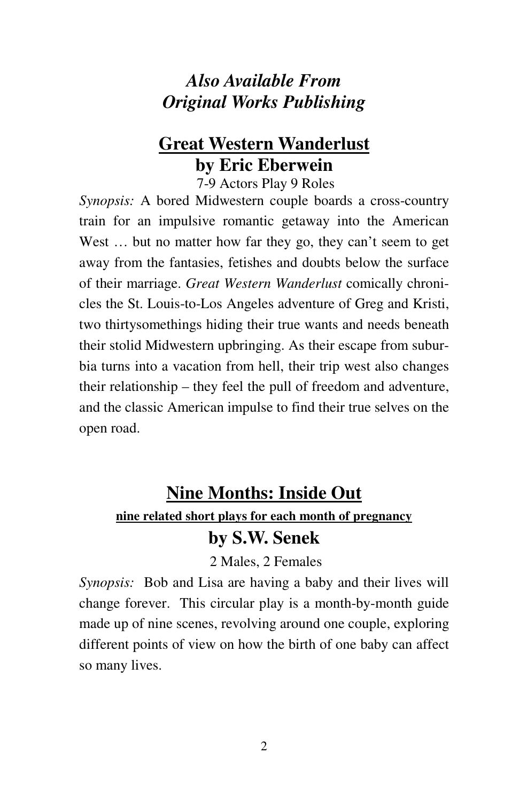# *Also Available From Original Works Publishing*

# **Great Western Wanderlust by Eric Eberwein**

7-9 Actors Play 9 Roles

*Synopsis:* A bored Midwestern couple boards a cross-country train for an impulsive romantic getaway into the American West ... but no matter how far they go, they can't seem to get away from the fantasies, fetishes and doubts below the surface of their marriage. *Great Western Wanderlust* comically chronicles the St. Louis-to-Los Angeles adventure of Greg and Kristi, two thirtysomethings hiding their true wants and needs beneath their stolid Midwestern upbringing. As their escape from suburbia turns into a vacation from hell, their trip west also changes their relationship – they feel the pull of freedom and adventure, and the classic American impulse to find their true selves on the open road.

# **Nine Months: Inside Out nine related short plays for each month of pregnancy by S.W. Senek**

2 Males, 2 Females

*Synopsis:* Bob and Lisa are having a baby and their lives will change forever. This circular play is a month-by-month guide made up of nine scenes, revolving around one couple, exploring different points of view on how the birth of one baby can affect so many lives.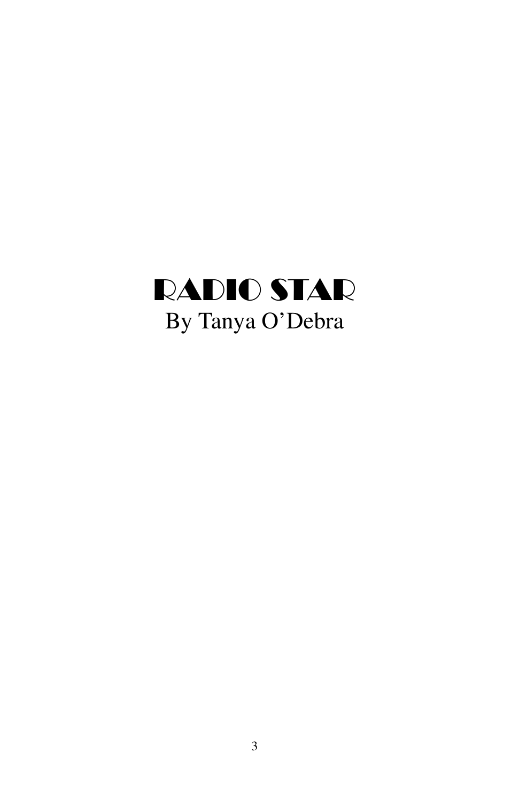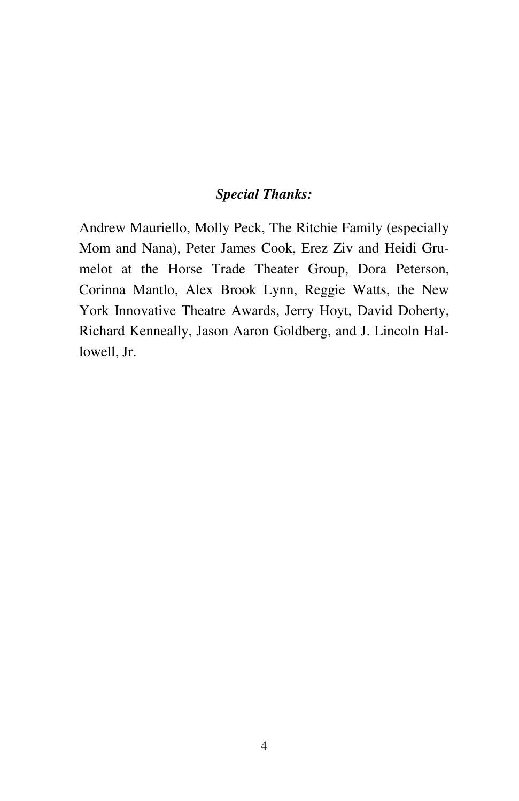# *Special Thanks:*

Andrew Mauriello, Molly Peck, The Ritchie Family (especially Mom and Nana), Peter James Cook, Erez Ziv and Heidi Grumelot at the Horse Trade Theater Group, Dora Peterson, Corinna Mantlo, Alex Brook Lynn, Reggie Watts, the New York Innovative Theatre Awards, Jerry Hoyt, David Doherty, Richard Kenneally, Jason Aaron Goldberg, and J. Lincoln Hallowell, Jr.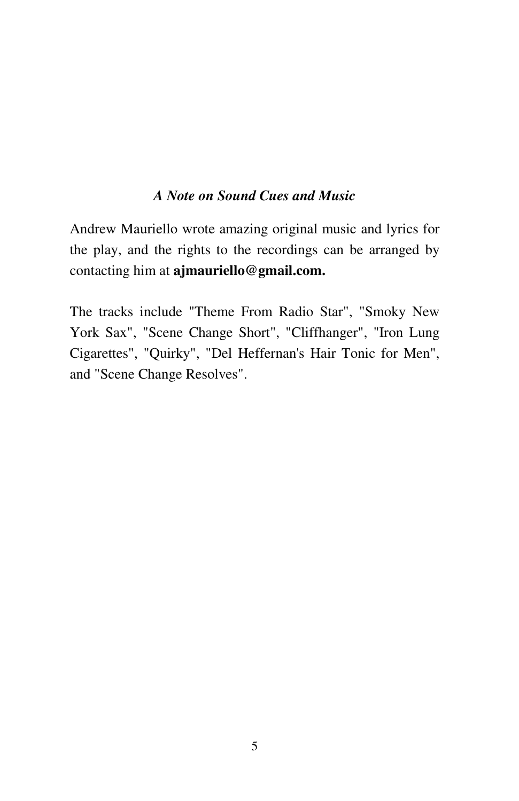## *A Note on Sound Cues and Music*

Andrew Mauriello wrote amazing original music and lyrics for the play, and the rights to the recordings can be arranged by contacting him at **ajmauriello@gmail.com.** 

The tracks include "Theme From Radio Star", "Smoky New York Sax", "Scene Change Short", "Cliffhanger", "Iron Lung Cigarettes", "Quirky", "Del Heffernan's Hair Tonic for Men", and "Scene Change Resolves".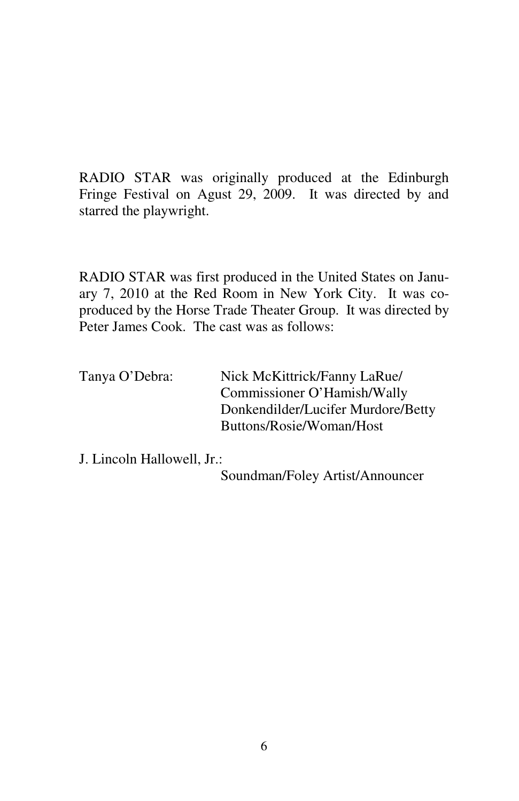RADIO STAR was originally produced at the Edinburgh Fringe Festival on Agust 29, 2009. It was directed by and starred the playwright.

RADIO STAR was first produced in the United States on January 7, 2010 at the Red Room in New York City. It was coproduced by the Horse Trade Theater Group. It was directed by Peter James Cook. The cast was as follows:

| Nick McKittrick/Fanny LaRue/       |
|------------------------------------|
| Commissioner O'Hamish/Wally        |
| Donkendilder/Lucifer Murdore/Betty |
| Buttons/Rosie/Woman/Host           |
|                                    |

J. Lincoln Hallowell, Jr.:

Soundman/Foley Artist/Announcer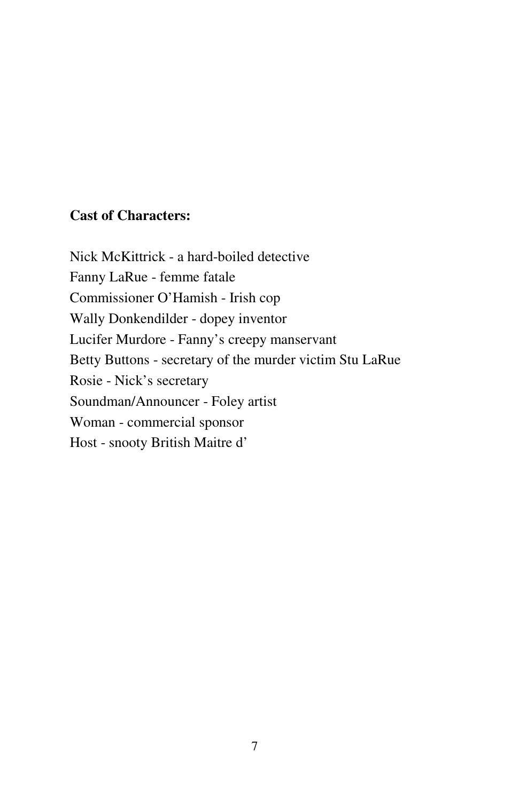# **Cast of Characters:**

Nick McKittrick - a hard-boiled detective Fanny LaRue - femme fatale Commissioner O'Hamish - Irish cop Wally Donkendilder - dopey inventor Lucifer Murdore - Fanny's creepy manservant Betty Buttons - secretary of the murder victim Stu LaRue Rosie - Nick's secretary Soundman/Announcer - Foley artist Woman - commercial sponsor Host - snooty British Maitre d'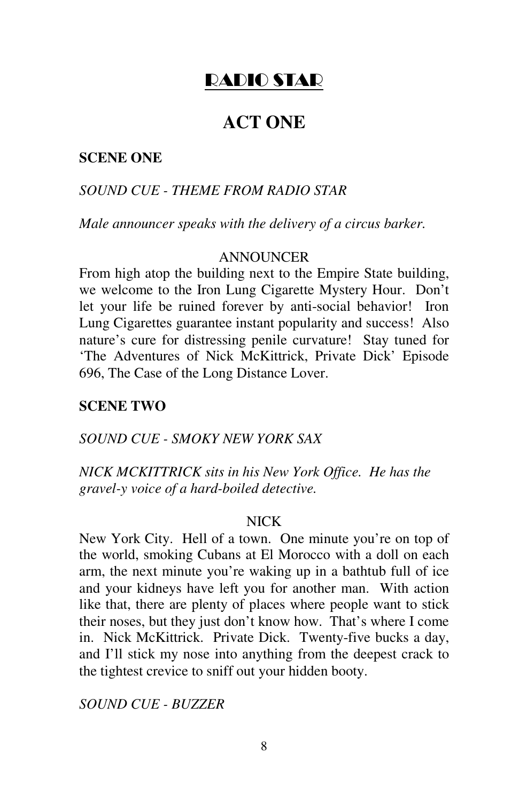# RADIO STAR

# **ACT ONE**

## **SCENE ONE**

## *SOUND CUE - THEME FROM RADIO STAR*

*Male announcer speaks with the delivery of a circus barker.* 

## **ANNOUNCER**

From high atop the building next to the Empire State building, we welcome to the Iron Lung Cigarette Mystery Hour. Don't let your life be ruined forever by anti-social behavior! Iron Lung Cigarettes guarantee instant popularity and success! Also nature's cure for distressing penile curvature! Stay tuned for 'The Adventures of Nick McKittrick, Private Dick' Episode 696, The Case of the Long Distance Lover.

#### **SCENE TWO**

### *SOUND CUE - SMOKY NEW YORK SAX*

*NICK MCKITTRICK sits in his New York Office. He has the gravel-y voice of a hard-boiled detective.* 

## NICK

New York City. Hell of a town. One minute you're on top of the world, smoking Cubans at El Morocco with a doll on each arm, the next minute you're waking up in a bathtub full of ice and your kidneys have left you for another man. With action like that, there are plenty of places where people want to stick their noses, but they just don't know how. That's where I come in. Nick McKittrick. Private Dick. Twenty-five bucks a day, and I'll stick my nose into anything from the deepest crack to the tightest crevice to sniff out your hidden booty.

*SOUND CUE - BUZZER*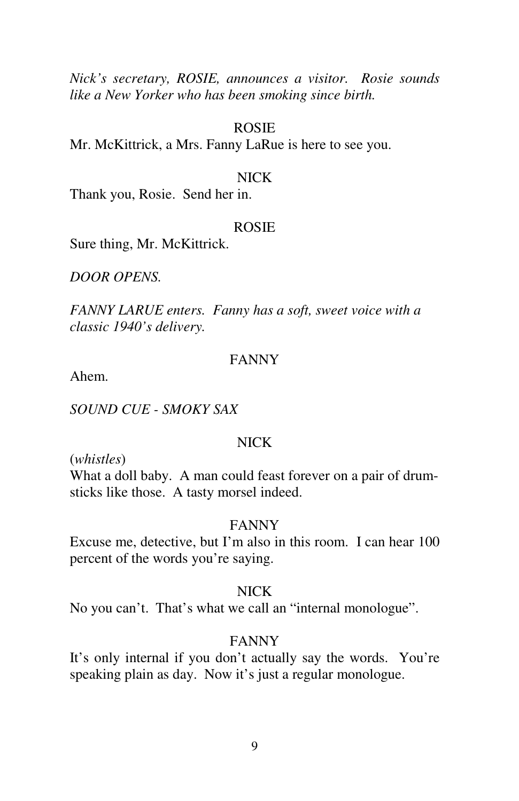*Nick's secretary, ROSIE, announces a visitor. Rosie sounds like a New Yorker who has been smoking since birth.*

#### ROSIE

Mr. McKittrick, a Mrs. Fanny LaRue is here to see you.

#### NICK

Thank you, Rosie. Send her in.

#### ROSIE

Sure thing, Mr. McKittrick.

*DOOR OPENS.* 

*FANNY LARUE enters. Fanny has a soft, sweet voice with a classic 1940's delivery.* 

## FANNY

Ahem.

*SOUND CUE - SMOKY SAX* 

#### NICK

(*whistles*)

What a doll baby. A man could feast forever on a pair of drumsticks like those. A tasty morsel indeed.

#### FANNY

Excuse me, detective, but I'm also in this room. I can hear 100 percent of the words you're saying.

#### NICK

No you can't. That's what we call an "internal monologue".

## FANNY

It's only internal if you don't actually say the words. You're speaking plain as day. Now it's just a regular monologue.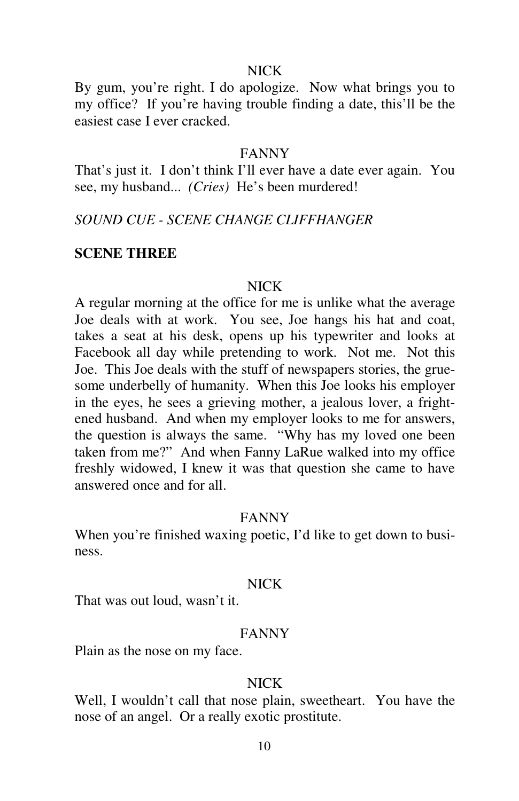## NICK

By gum, you're right. I do apologize. Now what brings you to my office? If you're having trouble finding a date, this'll be the easiest case I ever cracked.

## FANNY

That's just it. I don't think I'll ever have a date ever again. You see, my husband... *(Cries)* He's been murdered!

## *SOUND CUE - SCENE CHANGE CLIFFHANGER*

## **SCENE THREE**

#### NICK

A regular morning at the office for me is unlike what the average Joe deals with at work. You see, Joe hangs his hat and coat, takes a seat at his desk, opens up his typewriter and looks at Facebook all day while pretending to work. Not me. Not this Joe. This Joe deals with the stuff of newspapers stories, the gruesome underbelly of humanity. When this Joe looks his employer in the eyes, he sees a grieving mother, a jealous lover, a frightened husband. And when my employer looks to me for answers, the question is always the same. "Why has my loved one been taken from me?" And when Fanny LaRue walked into my office freshly widowed, I knew it was that question she came to have answered once and for all.

#### FANNY

When you're finished waxing poetic, I'd like to get down to business.

## NICK

That was out loud, wasn't it.

## FANNY

Plain as the nose on my face.

# NICK

Well, I wouldn't call that nose plain, sweetheart. You have the nose of an angel. Or a really exotic prostitute.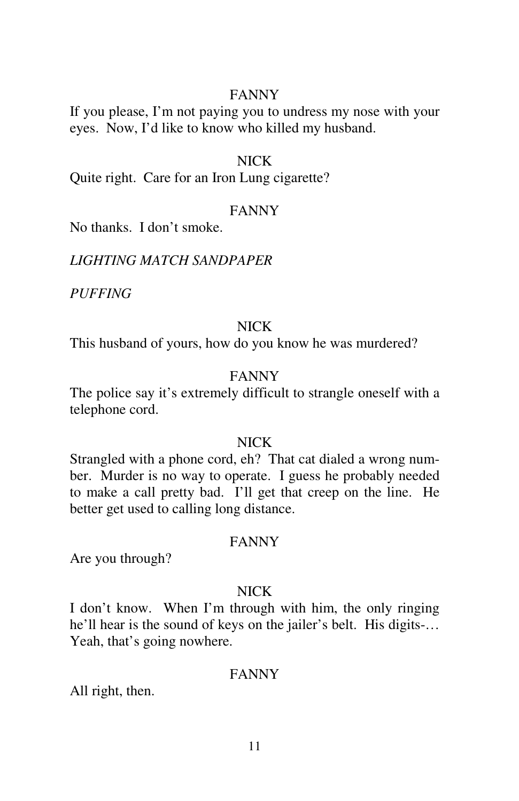## FANNY

If you please, I'm not paying you to undress my nose with your eyes. Now, I'd like to know who killed my husband.

#### NICK

Quite right. Care for an Iron Lung cigarette?

## FANNY

No thanks. I don't smoke.

*LIGHTING MATCH SANDPAPER* 

*PUFFING* 

## NICK

This husband of yours, how do you know he was murdered?

### FANNY

The police say it's extremely difficult to strangle oneself with a telephone cord.

## NICK

Strangled with a phone cord, eh? That cat dialed a wrong number. Murder is no way to operate. I guess he probably needed to make a call pretty bad. I'll get that creep on the line. He better get used to calling long distance.

#### FANNY

Are you through?

#### NICK

I don't know. When I'm through with him, the only ringing he'll hear is the sound of keys on the jailer's belt. His digits-… Yeah, that's going nowhere.

## FANNY

All right, then.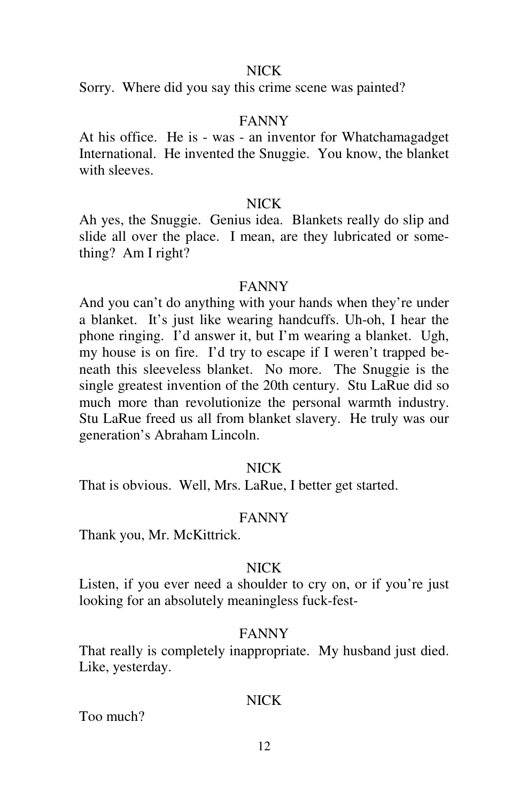## NICK

Sorry. Where did you say this crime scene was painted?

#### FANNY

At his office. He is - was - an inventor for Whatchamagadget International. He invented the Snuggie. You know, the blanket with sleeves.

## NICK

Ah yes, the Snuggie. Genius idea. Blankets really do slip and slide all over the place. I mean, are they lubricated or something? Am I right?

### FANNY

And you can't do anything with your hands when they're under a blanket. It's just like wearing handcuffs. Uh-oh, I hear the phone ringing. I'd answer it, but I'm wearing a blanket. Ugh, my house is on fire. I'd try to escape if I weren't trapped beneath this sleeveless blanket. No more. The Snuggie is the single greatest invention of the 20th century. Stu LaRue did so much more than revolutionize the personal warmth industry. Stu LaRue freed us all from blanket slavery. He truly was our generation's Abraham Lincoln.

#### NICK

That is obvious. Well, Mrs. LaRue, I better get started.

#### FANNY

Thank you, Mr. McKittrick.

#### NICK

Listen, if you ever need a shoulder to cry on, or if you're just looking for an absolutely meaningless fuck-fest-

#### FANNY

That really is completely inappropriate. My husband just died. Like, yesterday.

## NICK

Too much?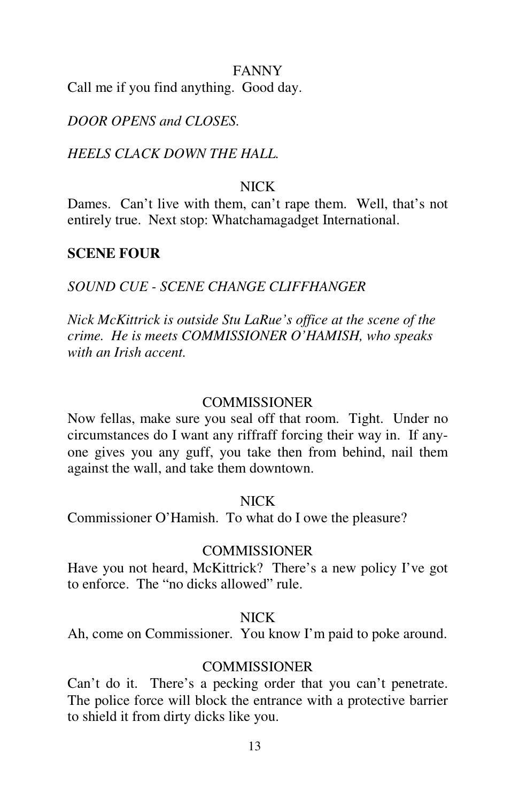#### FANNY

Call me if you find anything. Good day.

# *DOOR OPENS and CLOSES.*

## *HEELS CLACK DOWN THE HALL.*

# NICK

Dames. Can't live with them, can't rape them. Well, that's not entirely true. Next stop: Whatchamagadget International.

## **SCENE FOUR**

# *SOUND CUE - SCENE CHANGE CLIFFHANGER*

*Nick McKittrick is outside Stu LaRue's office at the scene of the crime. He is meets COMMISSIONER O'HAMISH, who speaks with an Irish accent.* 

## **COMMISSIONER**

Now fellas, make sure you seal off that room. Tight. Under no circumstances do I want any riffraff forcing their way in. If anyone gives you any guff, you take then from behind, nail them against the wall, and take them downtown.

#### NICK

Commissioner O'Hamish. To what do I owe the pleasure?

#### **COMMISSIONER**

Have you not heard, McKittrick? There's a new policy I've got to enforce. The "no dicks allowed" rule.

## NICK

Ah, come on Commissioner. You know I'm paid to poke around.

## **COMMISSIONER**

Can't do it. There's a pecking order that you can't penetrate. The police force will block the entrance with a protective barrier to shield it from dirty dicks like you.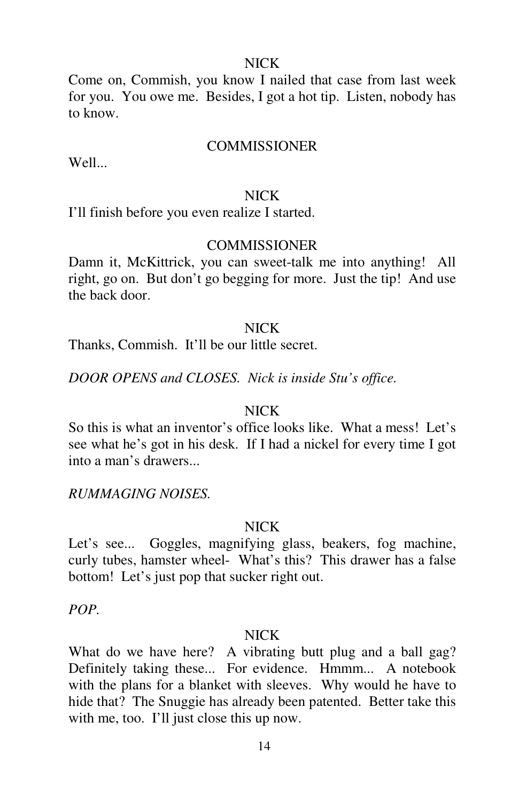## NICK

Come on, Commish, you know I nailed that case from last week for you. You owe me. Besides, I got a hot tip. Listen, nobody has to know.

#### **COMMISSIONER**

Well...

#### NICK

I'll finish before you even realize I started.

#### **COMMISSIONER**

Damn it, McKittrick, you can sweet-talk me into anything! All right, go on. But don't go begging for more. Just the tip! And use the back door.

#### NICK

Thanks, Commish. It'll be our little secret.

*DOOR OPENS and CLOSES. Nick is inside Stu's office.* 

## NICK

So this is what an inventor's office looks like. What a mess! Let's see what he's got in his desk. If I had a nickel for every time I got into a man's drawers...

## *RUMMAGING NOISES.*

#### NICK

Let's see... Goggles, magnifying glass, beakers, fog machine, curly tubes, hamster wheel- What's this? This drawer has a false bottom! Let's just pop that sucker right out.

*POP.* 

#### NICK

What do we have here? A vibrating butt plug and a ball gag? Definitely taking these... For evidence. Hmmm... A notebook with the plans for a blanket with sleeves. Why would he have to hide that? The Snuggie has already been patented. Better take this with me, too. I'll just close this up now.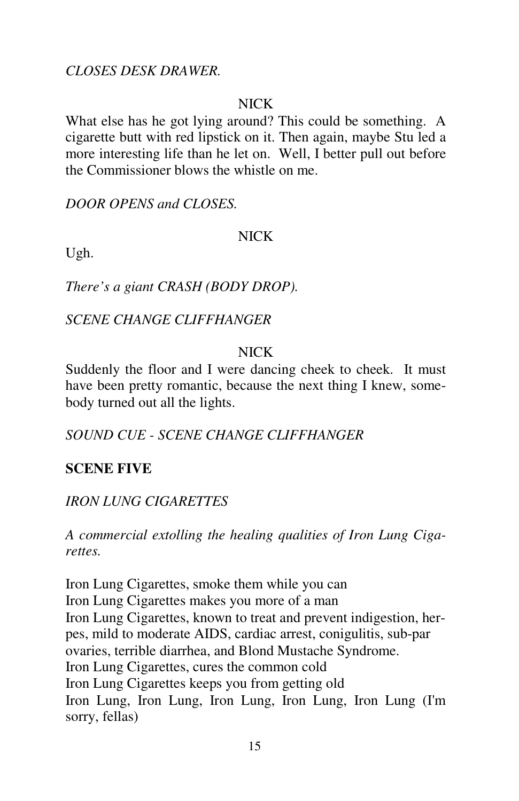*CLOSES DESK DRAWER.* 

# **NICK**

What else has he got lying around? This could be something. A cigarette butt with red lipstick on it. Then again, maybe Stu led a more interesting life than he let on. Well, I better pull out before the Commissioner blows the whistle on me.

*DOOR OPENS and CLOSES.* 

# NICK

Ugh.

*There's a giant CRASH (BODY DROP).* 

*SCENE CHANGE CLIFFHANGER* 

# **NICK**

Suddenly the floor and I were dancing cheek to cheek. It must have been pretty romantic, because the next thing I knew, somebody turned out all the lights.

*SOUND CUE - SCENE CHANGE CLIFFHANGER* 

# **SCENE FIVE**

# *IRON LUNG CIGARETTES*

*A commercial extolling the healing qualities of Iron Lung Cigarettes.* 

Iron Lung Cigarettes, smoke them while you can Iron Lung Cigarettes makes you more of a man Iron Lung Cigarettes, known to treat and prevent indigestion, herpes, mild to moderate AIDS, cardiac arrest, conigulitis, sub-par ovaries, terrible diarrhea, and Blond Mustache Syndrome. Iron Lung Cigarettes, cures the common cold Iron Lung Cigarettes keeps you from getting old Iron Lung, Iron Lung, Iron Lung, Iron Lung, Iron Lung (I'm sorry, fellas)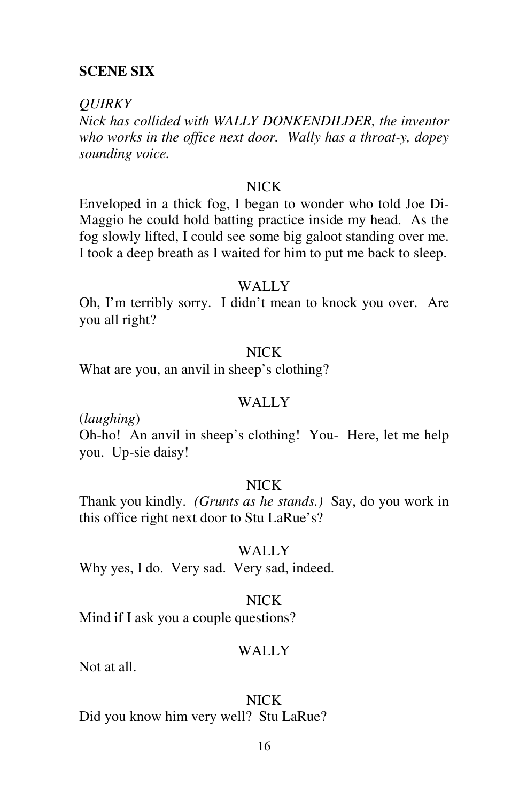## **SCENE SIX**

#### *QUIRKY*

*Nick has collided with WALLY DONKENDILDER, the inventor who works in the office next door. Wally has a throat-y, dopey sounding voice.* 

## NICK

Enveloped in a thick fog, I began to wonder who told Joe Di-Maggio he could hold batting practice inside my head. As the fog slowly lifted, I could see some big galoot standing over me. I took a deep breath as I waited for him to put me back to sleep.

### WALLY<sub></sub>

Oh, I'm terribly sorry. I didn't mean to knock you over. Are you all right?

## NICK

What are you, an anvil in sheep's clothing?

#### WALLY

(*laughing*)

Oh-ho! An anvil in sheep's clothing! You- Here, let me help you. Up-sie daisy!

## NICK

Thank you kindly. *(Grunts as he stands.)* Say, do you work in this office right next door to Stu LaRue's?

#### WALLY

Why yes, I do. Very sad. Very sad, indeed.

#### NICK

Mind if I ask you a couple questions?

## WALLY

Not at all.

#### NICK

Did you know him very well? Stu LaRue?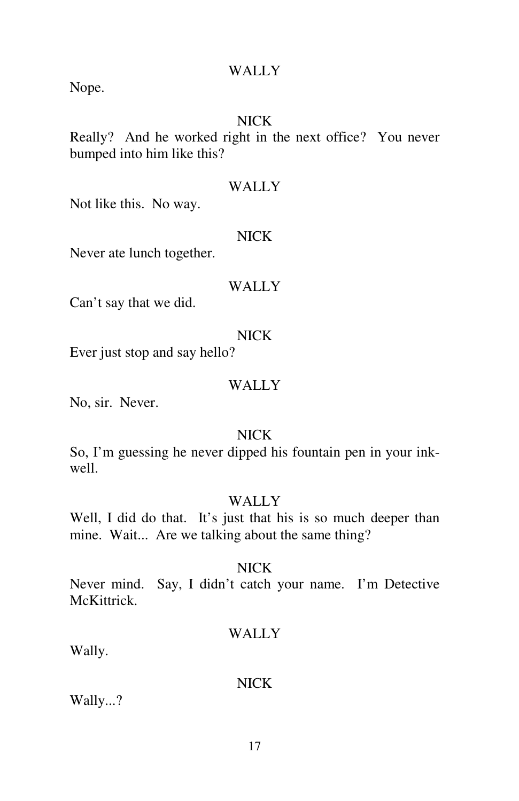#### WALLY

Nope.

# NICK

Really? And he worked right in the next office? You never bumped into him like this?

#### WALLY

Not like this. No way.

## NICK

Never ate lunch together.

## WALLY<sub></sub>

Can't say that we did.

## NICK

Ever just stop and say hello?

# WALLY

No, sir. Never.

## NICK

So, I'm guessing he never dipped his fountain pen in your inkwell.

# WALLY

Well, I did do that. It's just that his is so much deeper than mine. Wait... Are we talking about the same thing?

## NICK

Never mind. Say, I didn't catch your name. I'm Detective McKittrick.

## WALLY

Wally.

# NICK

Wally...?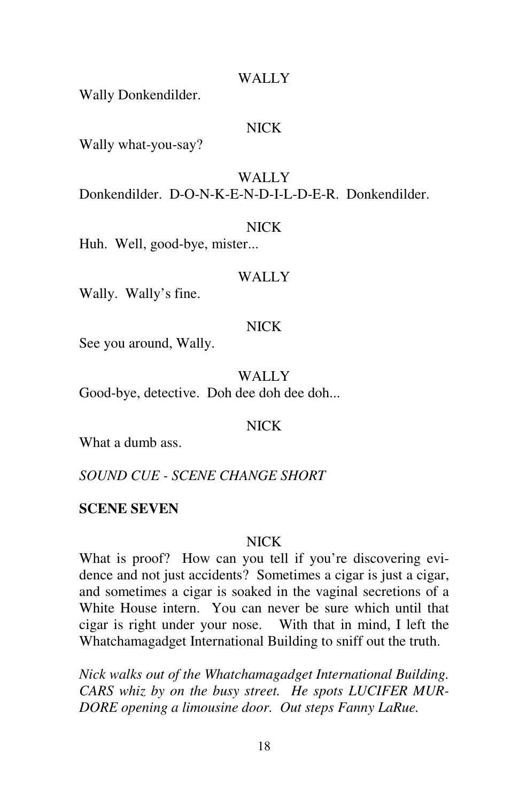#### WALLY<sub></sub>

Wally Donkendilder.

## NICK

Wally what-you-say?

# WALLY

Donkendilder. D-O-N-K-E-N-D-I-L-D-E-R. Donkendilder.

#### NICK

Huh. Well, good-bye, mister...

#### WALLY

Wally. Wally's fine.

#### NICK

See you around, Wally.

WALLY

Good-bye, detective. Doh dee doh dee doh...

## NICK

What a dumb ass.

*SOUND CUE - SCENE CHANGE SHORT* 

## **SCENE SEVEN**

#### NICK

What is proof? How can you tell if you're discovering evidence and not just accidents? Sometimes a cigar is just a cigar, and sometimes a cigar is soaked in the vaginal secretions of a White House intern. You can never be sure which until that cigar is right under your nose. With that in mind, I left the Whatchamagadget International Building to sniff out the truth.

*Nick walks out of the Whatchamagadget International Building. CARS whiz by on the busy street. He spots LUCIFER MUR-DORE opening a limousine door. Out steps Fanny LaRue.*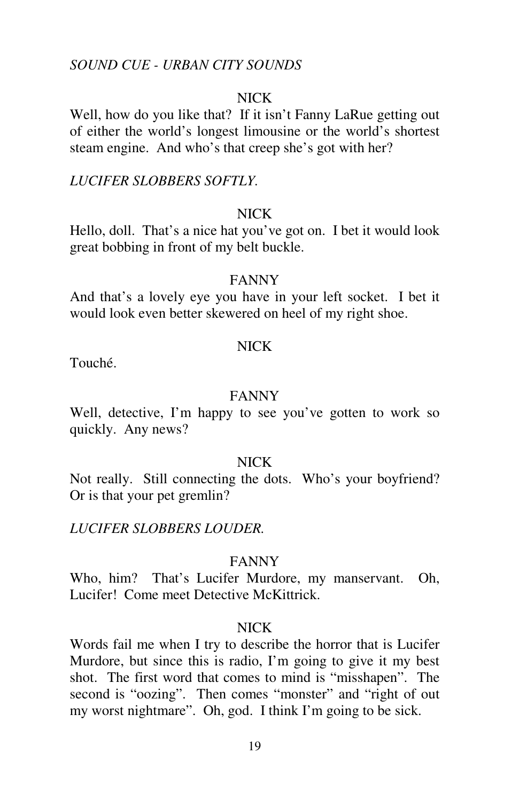## *SOUND CUE - URBAN CITY SOUNDS*

## NICK

Well, how do you like that? If it isn't Fanny LaRue getting out of either the world's longest limousine or the world's shortest steam engine. And who's that creep she's got with her?

#### *LUCIFER SLOBBERS SOFTLY.*

## NICK

Hello, doll. That's a nice hat you've got on. I bet it would look great bobbing in front of my belt buckle.

### FANNY

And that's a lovely eye you have in your left socket. I bet it would look even better skewered on heel of my right shoe.

#### **NICK**

Touché.

## FANNY

Well, detective, I'm happy to see you've gotten to work so quickly. Any news?

#### NICK

Not really. Still connecting the dots. Who's your boyfriend? Or is that your pet gremlin?

*LUCIFER SLOBBERS LOUDER.* 

#### FANNY

Who, him? That's Lucifer Murdore, my manservant. Oh, Lucifer! Come meet Detective McKittrick.

#### NICK

Words fail me when I try to describe the horror that is Lucifer Murdore, but since this is radio, I'm going to give it my best shot. The first word that comes to mind is "misshapen". The second is "oozing". Then comes "monster" and "right of out my worst nightmare". Oh, god. I think I'm going to be sick.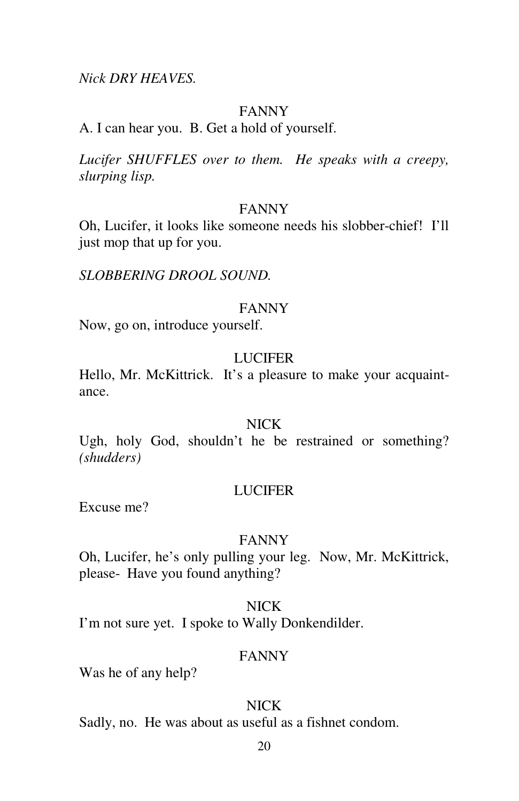#### *Nick DRY HEAVES.*

## FANNY

A. I can hear you. B. Get a hold of yourself.

*Lucifer SHUFFLES over to them. He speaks with a creepy, slurping lisp.* 

#### FANNY

Oh, Lucifer, it looks like someone needs his slobber-chief! I'll just mop that up for you.

*SLOBBERING DROOL SOUND.* 

#### FANNY

Now, go on, introduce yourself.

## LUCIFER

Hello, Mr. McKittrick. It's a pleasure to make your acquaintance.

#### NICK

Ugh, holy God, shouldn't he be restrained or something? *(shudders)*

#### **LUCIFER**

Excuse me?

#### FANNY

Oh, Lucifer, he's only pulling your leg. Now, Mr. McKittrick, please- Have you found anything?

## NICK

I'm not sure yet. I spoke to Wally Donkendilder.

#### FANNY

Was he of any help?

# NICK

Sadly, no. He was about as useful as a fishnet condom.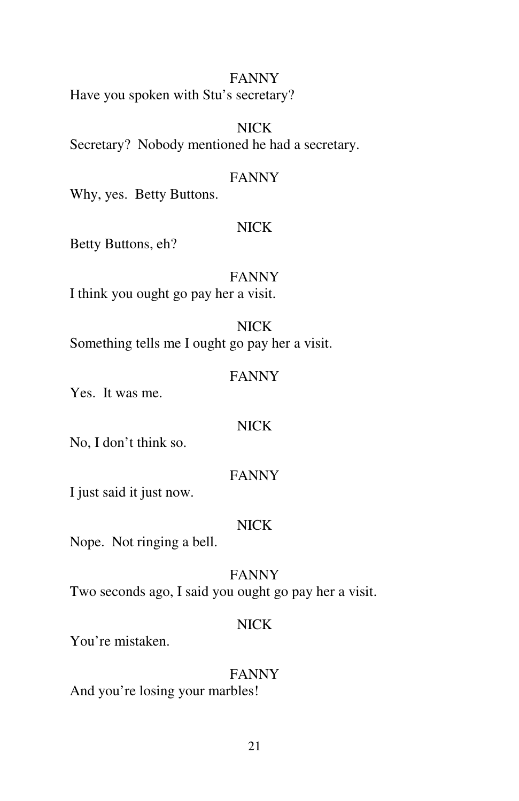## FANNY

Have you spoken with Stu's secretary?

# NICK

Secretary? Nobody mentioned he had a secretary.

## FANNY

Why, yes. Betty Buttons.

## NICK

Betty Buttons, eh?

FANNY I think you ought go pay her a visit.

# NICK

Something tells me I ought go pay her a visit.

#### FANNY

Yes. It was me.

## NICK

No, I don't think so.

#### FANNY

I just said it just now.

### NICK

Nope. Not ringing a bell.

### FANNY

Two seconds ago, I said you ought go pay her a visit.

# NICK

You're mistaken.

#### FANNY

And you're losing your marbles!